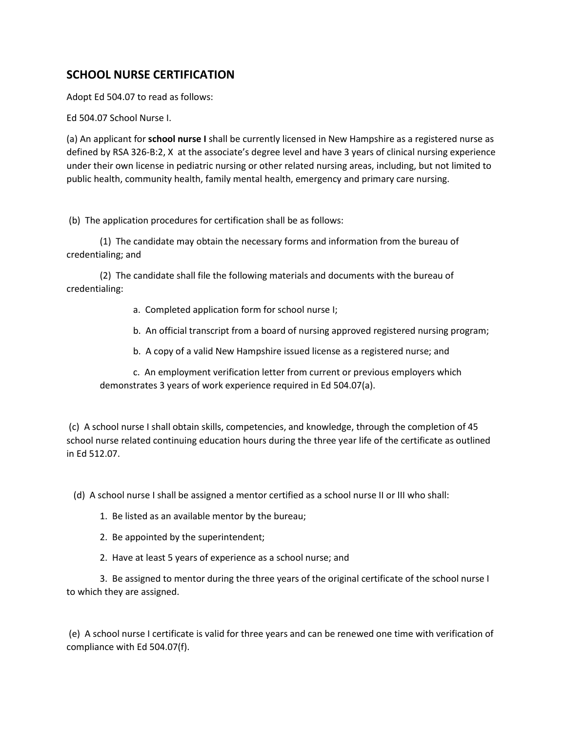## **SCHOOL NURSE CERTIFICATION**

Adopt Ed 504.07 to read as follows:

Ed 504.07 School Nurse I.

(a) An applicant for **school nurse I** shall be currently licensed in New Hampshire as a registered nurse as defined by RSA 326-B:2, X at the associate's degree level and have 3 years of clinical nursing experience under their own license in pediatric nursing or other related nursing areas, including, but not limited to public health, community health, family mental health, emergency and primary care nursing.

(b) The application procedures for certification shall be as follows:

(1) The candidate may obtain the necessary forms and information from the bureau of credentialing; and

(2) The candidate shall file the following materials and documents with the bureau of credentialing:

- a. Completed application form for school nurse I;
- b. An official transcript from a board of nursing approved registered nursing program;

b. A copy of a valid New Hampshire issued license as a registered nurse; and

c. An employment verification letter from current or previous employers which demonstrates 3 years of work experience required in Ed 504.07(a).

(c) A school nurse I shall obtain skills, competencies, and knowledge, through the completion of 45 school nurse related continuing education hours during the three year life of the certificate as outlined in Ed 512.07.

(d) A school nurse I shall be assigned a mentor certified as a school nurse II or III who shall:

- 1. Be listed as an available mentor by the bureau;
- 2. Be appointed by the superintendent;
- 2. Have at least 5 years of experience as a school nurse; and

3. Be assigned to mentor during the three years of the original certificate of the school nurse I to which they are assigned.

(e) A school nurse I certificate is valid for three years and can be renewed one time with verification of compliance with Ed 504.07(f).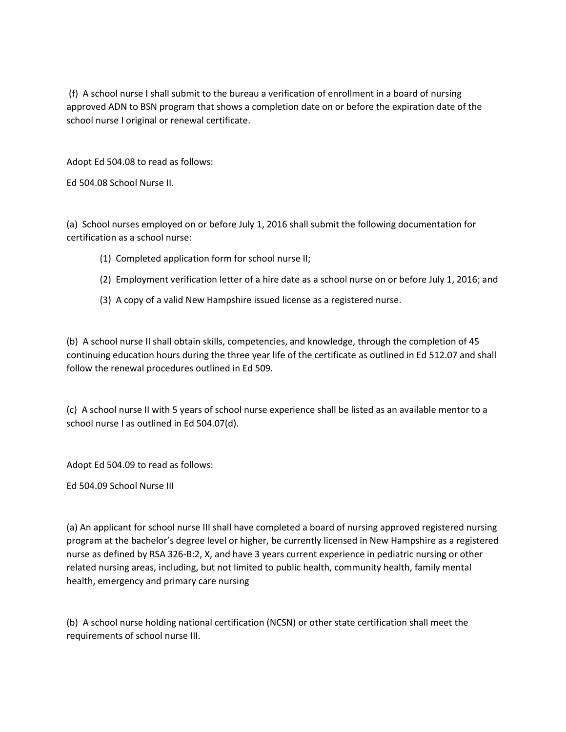(f) A school nurse I shall submit to the bureau a verification of enrollment in a board of nursing approved ADN to BSN program that shows a completion date on or before the expiration date of the school nurse I original or renewal certificate.

Adopt Ed 504.08 to read as follows:

Ed 504.08 School Nurse II.

(a) School nurses employed on or before July 1, 2016 shall submit the following documentation for certification as a school nurse:

- (1) Completed application form for school nurse II;
- (2) Employment verification letter of a hire date as a school nurse on or before July 1, 2016; and
- (3) A copy of a valid New Hampshire issued license as a registered nurse.

(b) A school nurse II shall obtain skills, competencies, and knowledge, through the completion of 45 continuing education hours during the three year life of the certificate as outlined in Ed 512.07 and shall follow the renewal procedures outlined in Ed 509.

(c) A school nurse II with 5 years of school nurse experience shall be listed as an available mentor to a school nurse I as outlined in Ed 504.07(d).

Adopt Ed 504.09 to read as follows:

Ed 504.09 School Nurse III

(a) An applicant for school nurse III shall have completed a board of nursing approved registered nursing program at the bachelor's degree level or higher, be currently licensed in New Hampshire as a registered nurse as defined by RSA 326-B:2, X, and have 3 years current experience in pediatric nursing or other related nursing areas, including, but not limited to public health, community health, family mental health, emergency and primary care nursing

(b) A school nurse holding national certification (NCSN) or other state certification shall meet the requirements of school nurse III.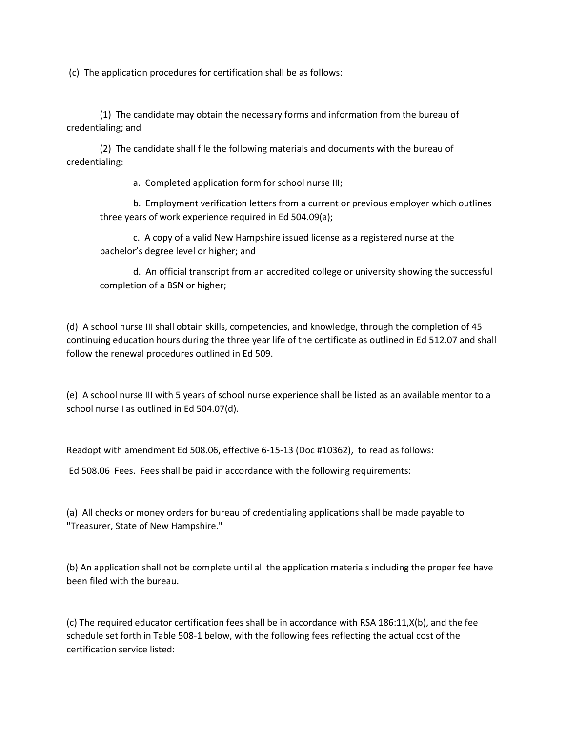(c) The application procedures for certification shall be as follows:

(1) The candidate may obtain the necessary forms and information from the bureau of credentialing; and

(2) The candidate shall file the following materials and documents with the bureau of credentialing:

a. Completed application form for school nurse III;

b. Employment verification letters from a current or previous employer which outlines three years of work experience required in Ed 504.09(a);

c. A copy of a valid New Hampshire issued license as a registered nurse at the bachelor's degree level or higher; and

d. An official transcript from an accredited college or university showing the successful completion of a BSN or higher;

(d) A school nurse III shall obtain skills, competencies, and knowledge, through the completion of 45 continuing education hours during the three year life of the certificate as outlined in Ed 512.07 and shall follow the renewal procedures outlined in Ed 509.

(e) A school nurse III with 5 years of school nurse experience shall be listed as an available mentor to a school nurse I as outlined in Ed 504.07(d).

Readopt with amendment Ed 508.06, effective 6-15-13 (Doc #10362), to read as follows:

Ed 508.06 Fees. Fees shall be paid in accordance with the following requirements:

(a) All checks or money orders for bureau of credentialing applications shall be made payable to "Treasurer, State of New Hampshire."

(b) An application shall not be complete until all the application materials including the proper fee have been filed with the bureau.

(c) The required educator certification fees shall be in accordance with RSA 186:11,X(b), and the fee schedule set forth in Table 508-1 below, with the following fees reflecting the actual cost of the certification service listed: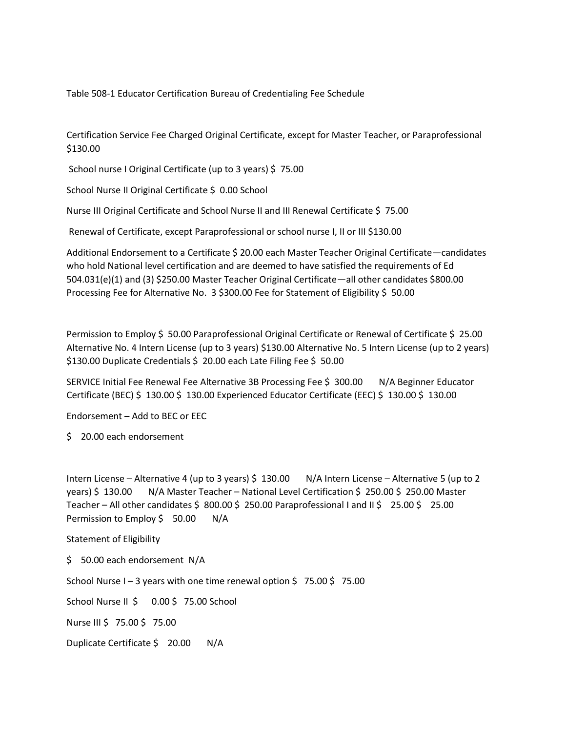Table 508-1 Educator Certification Bureau of Credentialing Fee Schedule

Certification Service Fee Charged Original Certificate, except for Master Teacher, or Paraprofessional \$130.00

School nurse I Original Certificate (up to 3 years) \$ 75.00

School Nurse II Original Certificate \$ 0.00 School

Nurse III Original Certificate and School Nurse II and III Renewal Certificate \$ 75.00

Renewal of Certificate, except Paraprofessional or school nurse I, II or III \$130.00

Additional Endorsement to a Certificate \$ 20.00 each Master Teacher Original Certificate—candidates who hold National level certification and are deemed to have satisfied the requirements of Ed 504.031(e)(1) and (3) \$250.00 Master Teacher Original Certificate—all other candidates \$800.00 Processing Fee for Alternative No. 3 \$300.00 Fee for Statement of Eligibility \$ 50.00

Permission to Employ \$ 50.00 Paraprofessional Original Certificate or Renewal of Certificate \$ 25.00 Alternative No. 4 Intern License (up to 3 years) \$130.00 Alternative No. 5 Intern License (up to 2 years) \$130.00 Duplicate Credentials \$ 20.00 each Late Filing Fee \$ 50.00

SERVICE Initial Fee Renewal Fee Alternative 3B Processing Fee \$ 300.00 N/A Beginner Educator Certificate (BEC) \$ 130.00 \$ 130.00 Experienced Educator Certificate (EEC) \$ 130.00 \$ 130.00

Endorsement – Add to BEC or EEC

\$ 20.00 each endorsement

Intern License – Alternative 4 (up to 3 years) \$ 130.00 N/A Intern License – Alternative 5 (up to 2 years) \$ 130.00 N/A Master Teacher – National Level Certification \$ 250.00 \$ 250.00 Master Teacher – All other candidates \$ 800.00 \$ 250.00 Paraprofessional I and II \$ 25.00 \$ 25.00 Permission to Employ \$ 50.00 N/A

Statement of Eligibility

\$ 50.00 each endorsement N/A

School Nurse I – 3 years with one time renewal option  $\frac{2}{5}$  75.00  $\frac{2}{5}$  75.00

School Nurse II \$ 0.00 \$ 75.00 School

Nurse III \$ 75.00 \$ 75.00

Duplicate Certificate \$ 20.00 N/A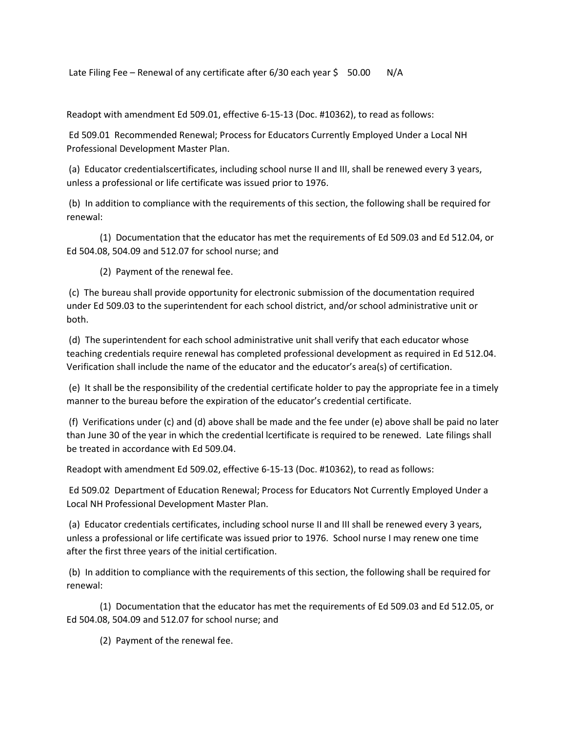Late Filing Fee – Renewal of any certificate after  $6/30$  each year \$ 50.00 N/A

Readopt with amendment Ed 509.01, effective 6-15-13 (Doc. #10362), to read as follows:

Ed 509.01 Recommended Renewal; Process for Educators Currently Employed Under a Local NH Professional Development Master Plan.

(a) Educator credentialscertificates, including school nurse II and III, shall be renewed every 3 years, unless a professional or life certificate was issued prior to 1976.

(b) In addition to compliance with the requirements of this section, the following shall be required for renewal:

(1) Documentation that the educator has met the requirements of Ed 509.03 and Ed 512.04, or Ed 504.08, 504.09 and 512.07 for school nurse; and

(2) Payment of the renewal fee.

(c) The bureau shall provide opportunity for electronic submission of the documentation required under Ed 509.03 to the superintendent for each school district, and/or school administrative unit or both.

(d) The superintendent for each school administrative unit shall verify that each educator whose teaching credentials require renewal has completed professional development as required in Ed 512.04. Verification shall include the name of the educator and the educator's area(s) of certification.

(e) It shall be the responsibility of the credential certificate holder to pay the appropriate fee in a timely manner to the bureau before the expiration of the educator's credential certificate.

(f) Verifications under (c) and (d) above shall be made and the fee under (e) above shall be paid no later than June 30 of the year in which the credential lcertificate is required to be renewed. Late filings shall be treated in accordance with Ed 509.04.

Readopt with amendment Ed 509.02, effective 6-15-13 (Doc. #10362), to read as follows:

Ed 509.02 Department of Education Renewal; Process for Educators Not Currently Employed Under a Local NH Professional Development Master Plan.

(a) Educator credentials certificates, including school nurse II and III shall be renewed every 3 years, unless a professional or life certificate was issued prior to 1976. School nurse I may renew one time after the first three years of the initial certification.

(b) In addition to compliance with the requirements of this section, the following shall be required for renewal:

(1) Documentation that the educator has met the requirements of Ed 509.03 and Ed 512.05, or Ed 504.08, 504.09 and 512.07 for school nurse; and

(2) Payment of the renewal fee.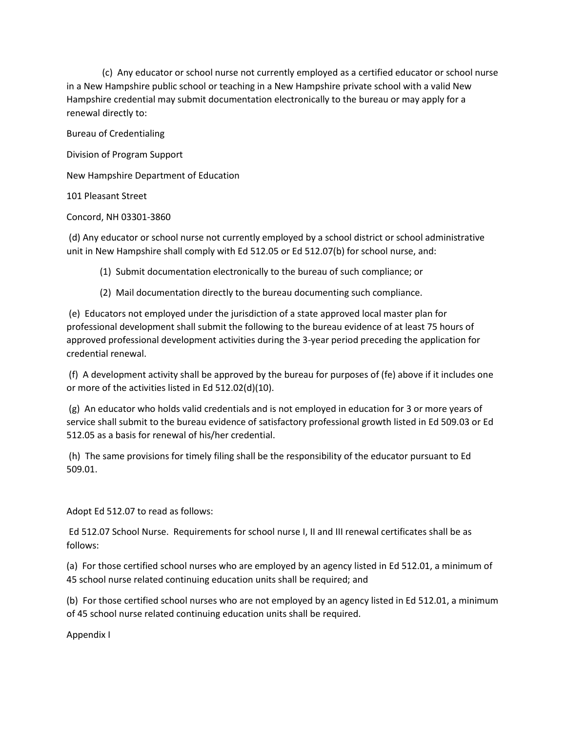(c) Any educator or school nurse not currently employed as a certified educator or school nurse in a New Hampshire public school or teaching in a New Hampshire private school with a valid New Hampshire credential may submit documentation electronically to the bureau or may apply for a renewal directly to:

Bureau of Credentialing

Division of Program Support

New Hampshire Department of Education

101 Pleasant Street

Concord, NH 03301-3860

(d) Any educator or school nurse not currently employed by a school district or school administrative unit in New Hampshire shall comply with Ed 512.05 or Ed 512.07(b) for school nurse, and:

(1) Submit documentation electronically to the bureau of such compliance; or

(2) Mail documentation directly to the bureau documenting such compliance.

(e) Educators not employed under the jurisdiction of a state approved local master plan for professional development shall submit the following to the bureau evidence of at least 75 hours of approved professional development activities during the 3-year period preceding the application for credential renewal.

(f) A development activity shall be approved by the bureau for purposes of (fe) above if it includes one or more of the activities listed in Ed 512.02(d)(10).

(g) An educator who holds valid credentials and is not employed in education for 3 or more years of service shall submit to the bureau evidence of satisfactory professional growth listed in Ed 509.03 or Ed 512.05 as a basis for renewal of his/her credential.

(h) The same provisions for timely filing shall be the responsibility of the educator pursuant to Ed 509.01.

Adopt Ed 512.07 to read as follows:

Ed 512.07 School Nurse. Requirements for school nurse I, II and III renewal certificates shall be as follows:

(a) For those certified school nurses who are employed by an agency listed in Ed 512.01, a minimum of 45 school nurse related continuing education units shall be required; and

(b) For those certified school nurses who are not employed by an agency listed in Ed 512.01, a minimum of 45 school nurse related continuing education units shall be required.

Appendix I